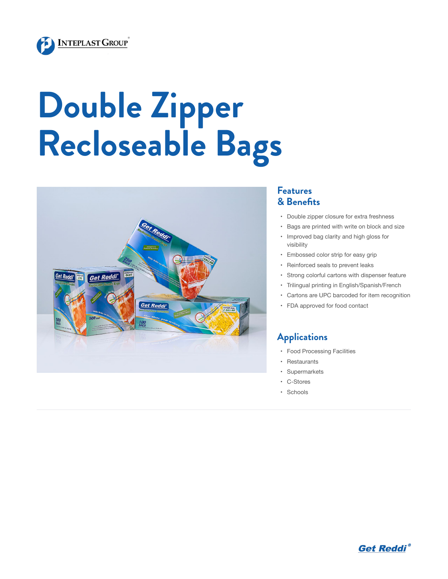

# **Double Zipper Recloseable Bags**



#### **Features & Benefits**

- • Double zipper closure for extra freshness
- • Bags are printed with write on block and size
- • Improved bag clarity and high gloss for visibility
- • Embossed color strip for easy grip
- • Reinforced seals to prevent leaks
- • Strong colorful cartons with dispenser feature
- • Trilingual printing in English/Spanish/French
- • Cartons are UPC barcoded for item recognition
- • FDA approved for food contact

### **Applications**

- • Food Processing Facilities
- • Restaurants
- • Supermarkets
- • C-Stores
- • Schools